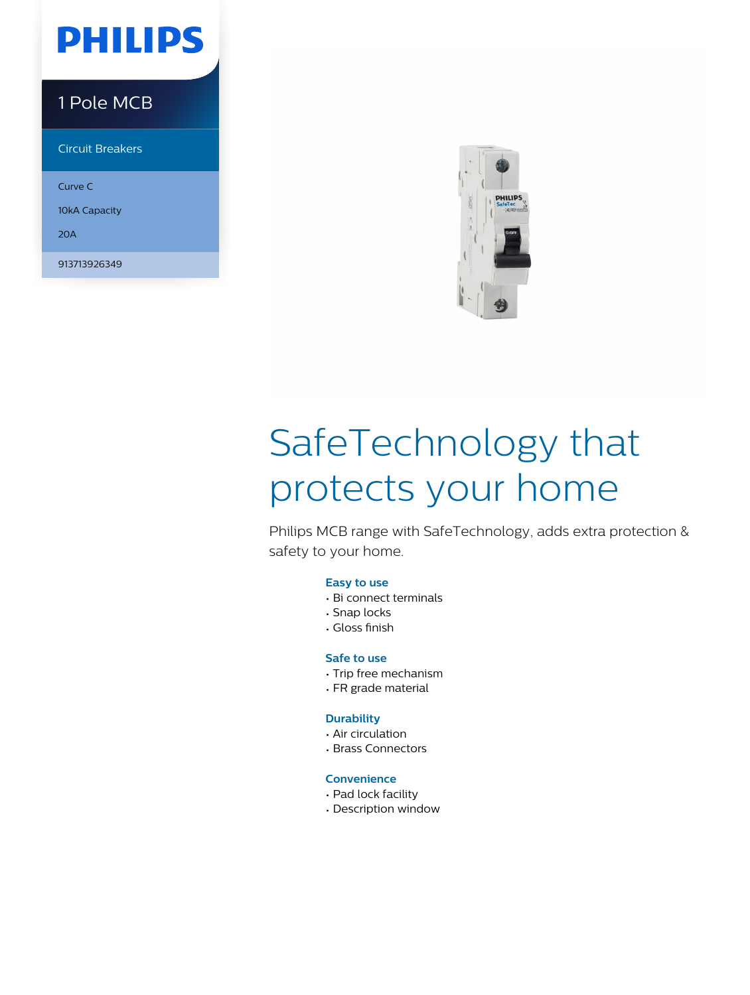## **PHILIPS**

### 1 Pole MCB

Circuit Breakers

Curve C

10kA Capacity

20A

913713926349



# SafeTechnology that protects your home

Philips MCB range with SafeTechnology, adds extra protection & safety to your home.

#### **Easy to use**

- Bi connect terminals
- Snap locks
- Gloss finish

#### **Safe to use**

- Trip free mechanism
- FR grade material

#### **Durability**

- Air circulation
- Brass Connectors

#### **Convenience**

- Pad lock facility
- Description window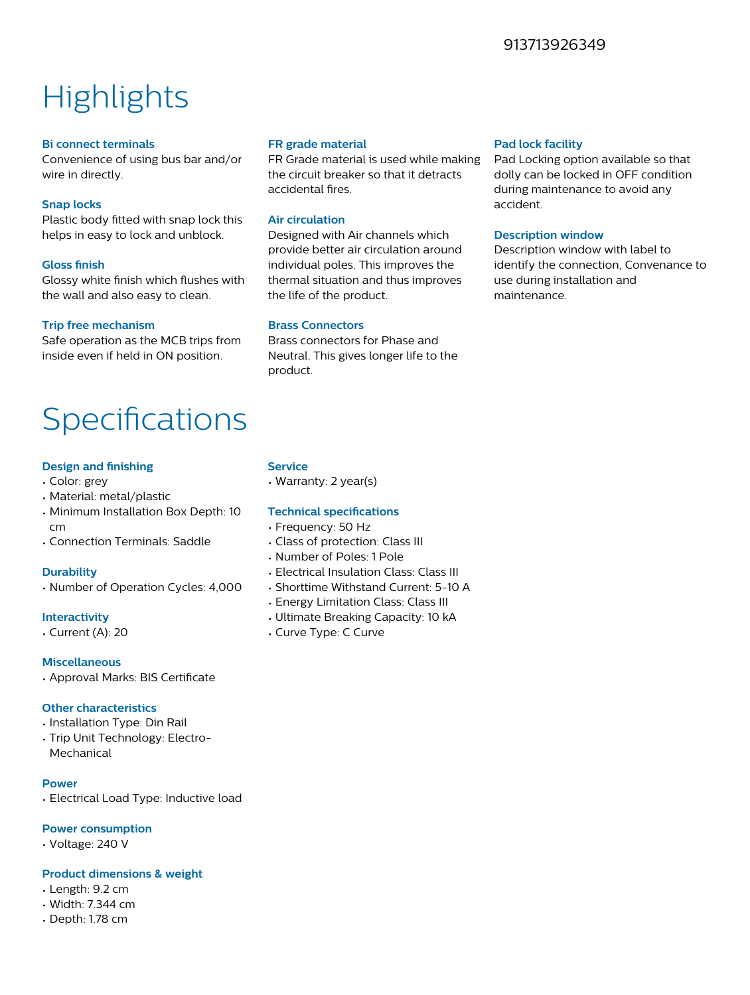#### 913713926349

### **Highlights**

#### **Bi connect terminals**

Convenience of using bus bar and/or wire in directly.

#### **Snap locks**

Plastic body fitted with snap lock this helps in easy to lock and unblock.

#### **Gloss finish**

Glossy white finish which flushes with the wall and also easy to clean.

#### **Trip free mechanism**

Safe operation as the MCB trips from inside even if held in ON position.

### Specifications

#### **Design and finishing**

- Color: grey
- Material: metal/plastic
- Minimum Installation Box Depth: 10 cm
- Connection Terminals: Saddle

#### **Durability**

• Number of Operation Cycles: 4,000

#### **Interactivity**

• Current (A): 20

#### **Miscellaneous**

• Approval Marks: BIS Certificate

#### **Other characteristics**

- Installation Type: Din Rail
- Trip Unit Technology: Electro-Mechanical

#### **Power**

• Electrical Load Type: Inductive load

#### **Power consumption**

• Voltage: 240 V

#### **Product dimensions & weight**

- Length: 9.2 cm
- Width: 7.344 cm
- Depth: 1.78 cm

#### **FR grade material**

FR Grade material is used while making the circuit breaker so that it detracts accidental fires.

#### **Air circulation**

Designed with Air channels which provide better air circulation around individual poles. This improves the thermal situation and thus improves the life of the product.

#### **Brass Connectors**

Brass connectors for Phase and Neutral. This gives longer life to the product.

#### **Pad lock facility**

Pad Locking option available so that dolly can be locked in OFF condition during maintenance to avoid any accident.

#### **Description window**

Description window with label to identify the connection, Convenance to use during installation and maintenance.

#### **Service**

• Warranty: 2 year(s)

#### **Technical specifications**

- Frequency: 50 Hz
- Class of protection: Class III
- Number of Poles: 1 Pole
- Electrical Insulation Class: Class III
- Shorttime Withstand Current: 5-10 A
- Energy Limitation Class: Class III
- Ultimate Breaking Capacity: 10 kA
- Curve Type: C Curve